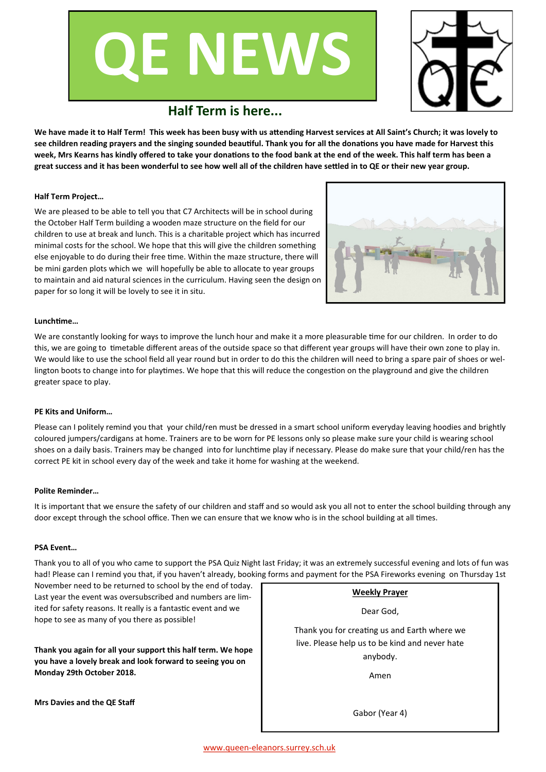# **QE NEWS**



# **Half Term is here...**

**We have made it to Half Term! This week has been busy with us attending Harvest services at All Saint's Church; it was lovely to see children reading prayers and the singing sounded beautiful. Thank you for all the donations you have made for Harvest this week, Mrs Kearns has kindly offered to take your donations to the food bank at the end of the week. This half term has been a great success and it has been wonderful to see how well all of the children have settled in to QE or their new year group.** 

## **Half Term Project…**

We are pleased to be able to tell you that C7 Architects will be in school during the October Half Term building a wooden maze structure on the field for our children to use at break and lunch. This is a charitable project which has incurred minimal costs for the school. We hope that this will give the children something else enjoyable to do during their free time. Within the maze structure, there will be mini garden plots which we will hopefully be able to allocate to year groups to maintain and aid natural sciences in the curriculum. Having seen the design on paper for so long it will be lovely to see it in situ.



#### **Lunchtime…**

We are constantly looking for ways to improve the lunch hour and make it a more pleasurable time for our children. In order to do this, we are going to timetable different areas of the outside space so that different year groups will have their own zone to play in. We would like to use the school field all year round but in order to do this the children will need to bring a spare pair of shoes or wellington boots to change into for playtimes. We hope that this will reduce the congestion on the playground and give the children greater space to play.

## **PE Kits and Uniform…**

Please can I politely remind you that your child/ren must be dressed in a smart school uniform everyday leaving hoodies and brightly coloured jumpers/cardigans at home. Trainers are to be worn for PE lessons only so please make sure your child is wearing school shoes on a daily basis. Trainers may be changed into for lunchtime play if necessary. Please do make sure that your child/ren has the correct PE kit in school every day of the week and take it home for washing at the weekend.

## **Polite Reminder…**

It is important that we ensure the safety of our children and staff and so would ask you all not to enter the school building through any door except through the school office. Then we can ensure that we know who is in the school building at all times.

## **PSA Event…**

Thank you to all of you who came to support the PSA Quiz Night last Friday; it was an extremely successful evening and lots of fun was had! Please can I remind you that, if you haven't already, booking forms and payment for the PSA Fireworks evening on Thursday 1st

November need to be returned to school by the end of today. Last year the event was oversubscribed and numbers are limited for safety reasons. It really is a fantastic event and we hope to see as many of you there as possible!

**Thank you again for all your support this half term. We hope you have a lovely break and look forward to seeing you on Monday 29th October 2018.** 

**Weekly Prayer**

Dear God,

Thank you for creating us and Earth where we live. Please help us to be kind and never hate anybody.

Amen

**Mrs Davies and the QE Staff**

Gabor (Year 4)